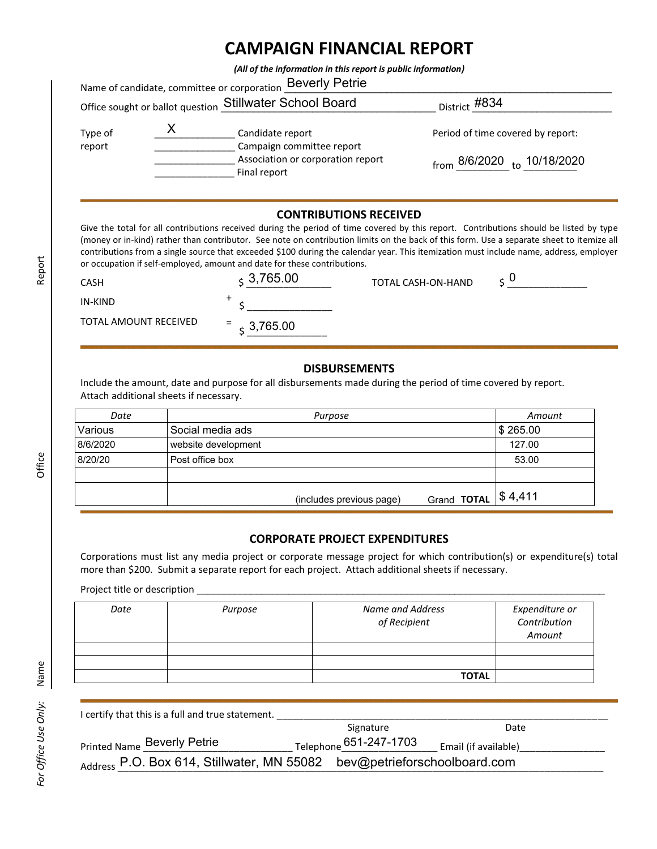# **CAMPAIGN FINANCIAL REPORT**

*(All of the information in this report is public information)*

|                   |  | <b>Beverly Petrie</b><br>Name of candidate, committee or corporation |                                               |  |  |
|-------------------|--|----------------------------------------------------------------------|-----------------------------------------------|--|--|
|                   |  | Office sought or ballot question Stillwater School Board             | <sub>District</sub> #834                      |  |  |
| Type of<br>report |  | Candidate report<br>Campaign committee report                        | Period of time covered by report:             |  |  |
|                   |  | Association or corporation report<br>Final report                    | $_{\rm from}$ 8/6/2020 $_{\rm to}$ 10/18/2020 |  |  |

## **CONTRIBUTIONS RECEIVED**

Give the total for all contributions received during the period of time covered by this report. Contributions should be listed by type (money or in-kind) rather than contributor. See note on contribution limits on the back of this form. Use a separate sheet to itemize all contributions from a single source that exceeded \$100 during the calendar year. This itemization must include name, address, employer or occupation if self-employed, amount and date for these contributions.

| <b>CASH</b>           | $\div$ 3,765.00 | TOTAL CASH-ON-HAND | U<br><b>.</b> |
|-----------------------|-----------------|--------------------|---------------|
| IN-KIND               |                 |                    |               |
| TOTAL AMOUNT RECEIVED | $= 3,765.00$    |                    |               |

#### **DISBURSEMENTS**

Include the amount, date and purpose for all disbursements made during the period of time covered by report. Attach additional sheets if necessary.

| Date     | Purpose                                 | Amount                |
|----------|-----------------------------------------|-----------------------|
| Various  | Social media ads                        | \$265.00              |
| 8/6/2020 | website development                     | 127.00                |
| 8/20/20  | Post office box                         | 53.00                 |
|          |                                         |                       |
|          | Grand TOTAL<br>(includes previous page) | $\frac{1}{2}$ \$4,411 |

### **CORPORATE PROJECT EXPENDITURES**

Corporations must list any media project or corporate message project for which contribution(s) or expenditure(s) total more than \$200. Submit a separate report for each project. Attach additional sheets if necessary.

Project title or description \_

| Date | Purpose | Name and Address<br>of Recipient | Expenditure or<br>Contribution<br>Amount |
|------|---------|----------------------------------|------------------------------------------|
|      |         |                                  |                                          |
|      |         |                                  |                                          |
|      |         | <b>TOTAL</b>                     |                                          |

| I certify that this is a full and true statement.                       |                        |                      |
|-------------------------------------------------------------------------|------------------------|----------------------|
|                                                                         | Signature              | Date                 |
| <b>Printed Name Beverly Petrie</b>                                      | Telephone 651-247-1703 | Email (if available) |
| Address P.O. Box 614, Stillwater, MN 55082 bev@petrieforschoolboard.com |                        |                      |